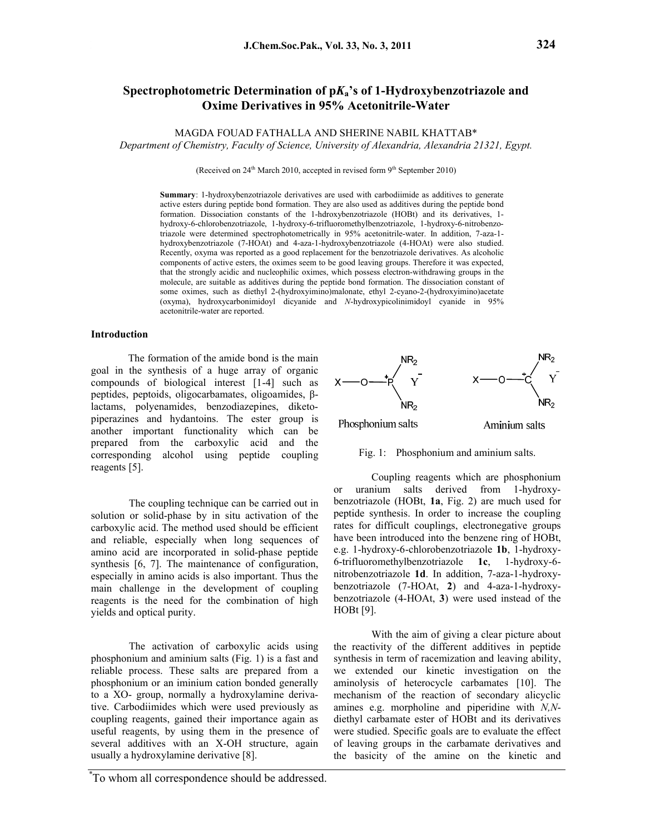## **Spectrophotometric Determination of p***K***a's of 1-Hydroxybenzotriazole and Oxime Derivatives in 95% Acetonitrile-Water**

## MAGDA FOUAD FATHALLA AND SHERINE NABIL KHATTAB\*

*Department of Chemistry, Faculty of Science, University of Alexandria, Alexandria 21321, Egypt.*

(Received on  $24<sup>th</sup>$  March 2010, accepted in revised form  $9<sup>th</sup>$  September 2010)

**Summary**: 1-hydroxybenzotriazole derivatives are used with carbodiimide as additives to generate active esters during peptide bond formation. They are also used as additives during the peptide bond formation. Dissociation constants of the 1-hdroxybenzotriazole (HOBt) and its derivatives, 1 hydroxy-6-chlorobenzotriazole, 1-hydroxy-6-trifluoromethylbenzotriazole, 1-hydroxy-6-nitrobenzotriazole were determined spectrophotometrically in 95% acetonitrile-water. In addition, 7-aza-1 hydroxybenzotriazole (7-HOAt) and 4-aza-1-hydroxybenzotriazole (4-HOAt) were also studied. Recently, oxyma was reported as a good replacement for the benzotriazole derivatives. As alcoholic components of active esters, the oximes seem to be good leaving groups. Therefore it was expected, that the strongly acidic and nucleophilic oximes, which possess electron-withdrawing groups in the molecule, are suitable as additives during the peptide bond formation. The dissociation constant of some oximes, such as diethyl 2-(hydroxyimino)malonate, ethyl 2-cyano-2-(hydroxyimino)acetate (oxyma), hydroxycarbonimidoyl dicyanide and *N*-hydroxypicolinimidoyl cyanide in 95% acetonitrile-water are reported.

### **Introduction**

The formation of the amide bond is the main goal in the synthesis of a huge array of organic compounds of biological interest [1-4] such as peptides, peptoids, oligocarbamates, oligoamides, βlactams, polyenamides, benzodiazepines, diketopiperazines and hydantoins. The ester group is another important functionality which can be prepared from the carboxylic acid and the corresponding alcohol using peptide coupling reagents [5].

The coupling technique can be carried out in solution or solid-phase by in situ activation of the carboxylic acid. The method used should be efficient and reliable, especially when long sequences of amino acid are incorporated in solid-phase peptide synthesis [6, 7]. The maintenance of configuration, especially in amino acids is also important. Thus the main challenge in the development of coupling reagents is the need for the combination of high yields and optical purity.

The activation of carboxylic acids using phosphonium and aminium salts (Fig. 1) is a fast and reliable process. These salts are prepared from a phosphonium or an iminium cation bonded generally to a XO- group, normally a hydroxylamine derivative. Carbodiimides which were used previously as coupling reagents, gained their importance again as useful reagents, by using them in the presence of several additives with an X-OH structure, again usually a hydroxylamine derivative [8].





Fig. 1: Phosphonium and aminium salts.

Coupling reagents which are phosphonium or uranium salts derived from 1-hydroxybenzotriazole (HOBt, **1a**, Fig. 2) are much used for peptide synthesis. In order to increase the coupling rates for difficult couplings, electronegative groups have been introduced into the benzene ring of HOBt, e.g. 1-hydroxy-6-chlorobenzotriazole **1b**, 1-hydroxy-6-trifluoromethylbenzotriazole **1c**, 1-hydroxy-6 nitrobenzotriazole **1d**. In addition, 7-aza-1-hydroxybenzotriazole (7-HOAt, **2**) and 4-aza-1-hydroxybenzotriazole (4-HOAt, **3**) were used instead of the HOBt [9].

With the aim of giving a clear picture about the reactivity of the different additives in peptide synthesis in term of racemization and leaving ability, we extended our kinetic investigation on the aminolysis of heterocycle carbamates [10]. The mechanism of the reaction of secondary alicyclic amines e.g. morpholine and piperidine with *N,N*diethyl carbamate ester of HOBt and its derivatives were studied. Specific goals are to evaluate the effect of leaving groups in the carbamate derivatives and the basicity of the amine on the kinetic and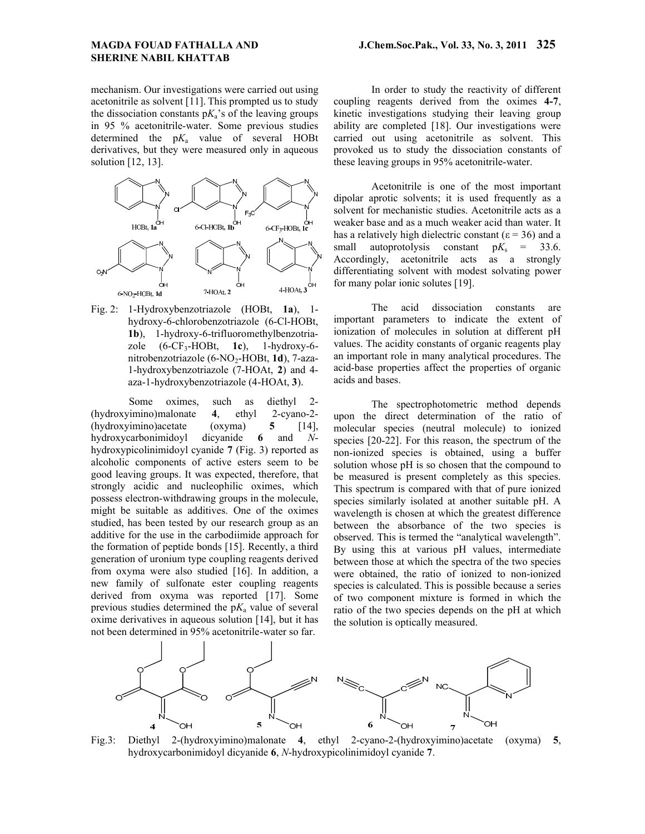mechanism. Our investigations were carried out using acetonitrile as solvent [11]. This prompted us to study the dissociation constants  $pK_a$ 's of the leaving groups in 95 % acetonitrile-water. Some previous studies determined the  $pK_a$  value of several HOBt derivatives, but they were measured only in aqueous solution [12, 13].



Fig. 2: 1-Hydroxybenzotriazole (HOBt, **1a**), 1 hydroxy-6-chlorobenzotriazole (6-Cl-HOBt, **1b**), 1-hydroxy-6-trifluoromethylbenzotriazole (6-CF3-HOBt, **1c**), 1-hydroxy-6 nitrobenzotriazole (6-NO<sub>2</sub>-HOBt, 1d), 7-aza-1-hydroxybenzotriazole (7-HOAt, **2**) and 4 aza-1-hydroxybenzotriazole (4-HOAt, **3**).

Some oximes, such as diethyl 2- (hydroxyimino)malonate **4**, ethyl 2-cyano-2- (hydroxyimino)acetate (oxyma) **5** [14], hydroxycarbonimidoyl dicyanide **6** and *N*hydroxypicolinimidoyl cyanide **7** (Fig. 3) reported as alcoholic components of active esters seem to be good leaving groups. It was expected, therefore, that strongly acidic and nucleophilic oximes, which possess electron-withdrawing groups in the molecule, might be suitable as additives. One of the oximes studied, has been tested by our research group as an additive for the use in the carbodiimide approach for the formation of peptide bonds [15]. Recently, a third generation of uronium type coupling reagents derived from oxyma were also studied [16]. In addition, a new family of sulfonate ester coupling reagents derived from oxyma was reported [17]. Some previous studies determined the  $pK_a$  value of several oxime derivatives in aqueous solution [14], but it has not been determined in 95% acetonitrile-water so far.

In order to study the reactivity of different coupling reagents derived from the oximes **4-7**, kinetic investigations studying their leaving group ability are completed [18]. Our investigations were carried out using acetonitrile as solvent. This provoked us to study the dissociation constants of these leaving groups in 95% acetonitrile-water.

Acetonitrile is one of the most important dipolar aprotic solvents; it is used frequently as a solvent for mechanistic studies. Acetonitrile acts as a weaker base and as a much weaker acid than water. It has a relatively high dielectric constant ( $\varepsilon$  = 36) and a small autoprotolysis constant  $pK_s = 33.6$ . Accordingly, acetonitrile acts as a strongly differentiating solvent with modest solvating power for many polar ionic solutes [19].

The acid dissociation constants are important parameters to indicate the extent of ionization of molecules in solution at different pH values. The acidity constants of organic reagents play an important role in many analytical procedures. The acid-base properties affect the properties of organic acids and bases.

The spectrophotometric method depends upon the direct determination of the ratio of molecular species (neutral molecule) to ionized species [20-22]. For this reason, the spectrum of the non-ionized species is obtained, using a buffer solution whose pH is so chosen that the compound to be measured is present completely as this species. This spectrum is compared with that of pure ionized species similarly isolated at another suitable pH. A wavelength is chosen at which the greatest difference between the absorbance of the two species is observed. This is termed the "analytical wavelength". By using this at various pH values, intermediate between those at which the spectra of the two species were obtained, the ratio of ionized to non-ionized species is calculated. This is possible because a series of two component mixture is formed in which the ratio of the two species depends on the pH at which the solution is optically measured.



Fig.3: Diethyl 2-(hydroxyimino)malonate **4**, ethyl 2-cyano-2-(hydroxyimino)acetate (oxyma) **5**, hydroxycarbonimidoyl dicyanide **6**, *N*-hydroxypicolinimidoyl cyanide **7**.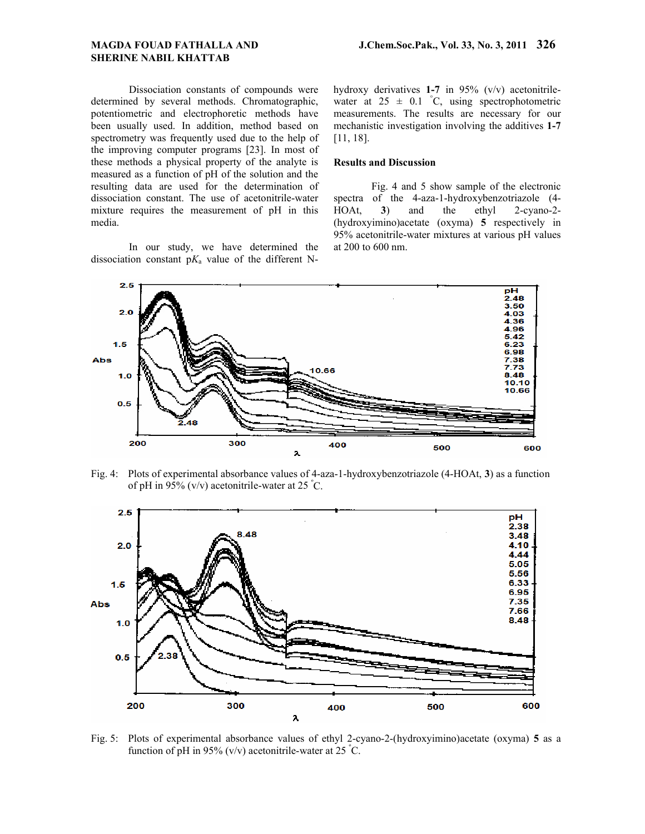Dissociation constants of compounds were determined by several methods. Chromatographic, potentiometric and electrophoretic methods have been usually used. In addition, method based on spectrometry was frequently used due to the help of the improving computer programs [23]. In most of these methods a physical property of the analyte is measured as a function of pH of the solution and the resulting data are used for the determination of dissociation constant. The use of acetonitrile-water mixture requires the measurement of pH in this media.

In our study, we have determined the dissociation constant  $pK_a$  value of the different N- hydroxy derivatives **1-7** in 95% (v/v) acetonitrilewater at  $25 \pm 0.1$  °C, using spectrophotometric measurements. The results are necessary for our mechanistic investigation involving the additives **1-7** [11, 18].

### **Results and Discussion**

Fig. 4 and 5 show sample of the electronic spectra of the 4-aza-1-hydroxybenzotriazole (4- HOAt, **3**) and the ethyl 2-cyano-2- (hydroxyimino)acetate (oxyma) **5** respectively in 95% acetonitrile-water mixtures at various pH values at 200 to 600 nm.



Fig. 4: Plots of experimental absorbance values of 4-aza-1-hydroxybenzotriazole (4-HOAt, **3**) as a function of pH in 95% (v/v) acetonitrile-water at 25  $^{\circ}$ C.



Fig. 5: Plots of experimental absorbance values of ethyl 2-cyano-2-(hydroxyimino)acetate (oxyma) **5** as a function of pH in 95% (v/v) acetonitrile-water at 25 °C.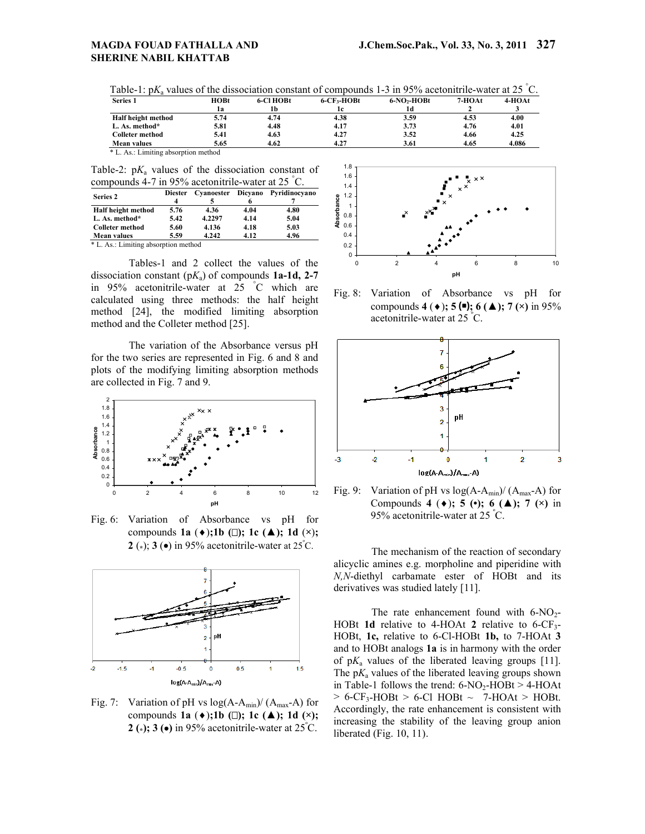| Table-1: $pK_a$ values of the dissociation constant of compounds 1-3 in 95% acetonitrile-water at 25 °C. |  |  |  |  |
|----------------------------------------------------------------------------------------------------------|--|--|--|--|
|                                                                                                          |  |  |  |  |

| <b>Series 1</b>                      | HOBt | 6-CI HOBt | $6$ -CF <sub>3</sub> -HOBt | $6-NO$ <sub>2</sub> -HOBt | 7-HOAt | 4-HOAt |
|--------------------------------------|------|-----------|----------------------------|---------------------------|--------|--------|
|                                      | lа   | 1h        | 1c                         | 1d                        |        |        |
| Half height method                   | 5.74 | 4.74      | 4.38                       | 3.59                      | 4.53   | 4.00   |
| L. As. method*                       | 5.81 | 4.48      | 4.17                       | 3.73                      | 4.76   | 4.01   |
| <b>Colleter method</b>               | 5.41 | 4.63      | 4.27                       | 3.52                      | 4.66   | 4.25   |
| <b>Mean values</b>                   | 5.65 | 4.62      | 4.27                       | 3.61                      | 4.65   | 4.086  |
| * L. As.: Limiting absorption method |      |           |                            |                           |        |        |

Table-2:  $pK_a$  values of the dissociation constant of compounds 4-7 in 95% acetonitrile-water at 25 ° C.

| Series 2               | <b>Diester</b> | Cyanoester Dicyano |      | Pyridinocyano |  |
|------------------------|----------------|--------------------|------|---------------|--|
|                        |                |                    |      |               |  |
| Half height method     | 5.76           | 4.36               | 4.04 | 4.80          |  |
| L. As. method*         | 5.42           | 4.2297             | 4.14 | 5.04          |  |
| <b>Colleter method</b> | 5.60           | 4.136              | 4.18 | 5.03          |  |
| <b>Mean values</b>     | 5.59           | 4.242              | 4.12 | 4.96          |  |

\* L. As.: Limiting absorption method

Tables-1 and 2 collect the values of the dissociation constant (p*K*a) of compounds **1a-1d, 2-7** in 95% acetonitrile-water at 25 ° C which are calculated using three methods: the half height method [24], the modified limiting absorption method and the Colleter method [25].

The variation of the Absorbance versus pH for the two series are represented in Fig. 6 and 8 and plots of the modifying limiting absorption methods are collected in Fig. 7 and 9.



Fig. 6: Variation of Absorbance vs pH for compounds **1a**  $(\bullet)$ ; **1b**  $(\square)$ ; **1c**  $(\triangle)$ ; **1d**  $(\times)$ ; **2** ( $\star$ ); **3** ( $\bullet$ ) in 95% acetonitrile-water at 25°C.



Fig. 7: Variation of pH vs  $log(A-A<sub>min</sub>)/(A<sub>max</sub>-A)$  for compounds **1a**  $(\bullet)$ ; **1b**  $(\square)$ ; **1c**  $(\triangle)$ ; **1d**  $(\times)$ ; **2 (\*); 3 ()** in 95% acetonitrile-water at 25<sup>º</sup> C.



Fig. 8: Variation of Absorbance vs pH for compounds **4** ( $\bullet$ ); **5** ( $\bullet$ ); **6** ( $\blacktriangle$ ); **7** ( $\times$ ) in 95% acetonitrile-water at 25 <sup>º</sup> C.



Fig. 9: Variation of pH vs  $log(A-A_{min})/(A_{max}-A)$  for Compounds 4 ( $\bullet$ ); 5 ( $\bullet$ ); 6 ( $\triangle$ ); 7 ( $\times$ ) in 95% acetonitrile-water at 25 <sup>º</sup> C.

The mechanism of the reaction of secondary alicyclic amines e.g. morpholine and piperidine with *N,N*-diethyl carbamate ester of HOBt and its derivatives was studied lately [11].

The rate enhancement found with  $6-NO_2$ -HOBt **1d** relative to 4-HOAt 2 relative to  $6$ -CF<sub>3</sub>-HOBt, **1c,** relative to 6-Cl-HOBt **1b,** to 7-HOAt **3** and to HOBt analogs **1a** is in harmony with the order of  $pK_a$  values of the liberated leaving groups [11]. The  $pK_a$  values of the liberated leaving groups shown in Table-1 follows the trend:  $6-NO_2$ -HOBt >  $4-HOAt$  $> 6$ -CF<sub>3</sub>-HOBt  $> 6$ -Cl HOBt  $\sim 7$ -HOAt  $>$  HOBt. Accordingly, the rate enhancement is consistent with increasing the stability of the leaving group anion liberated (Fig. 10, 11).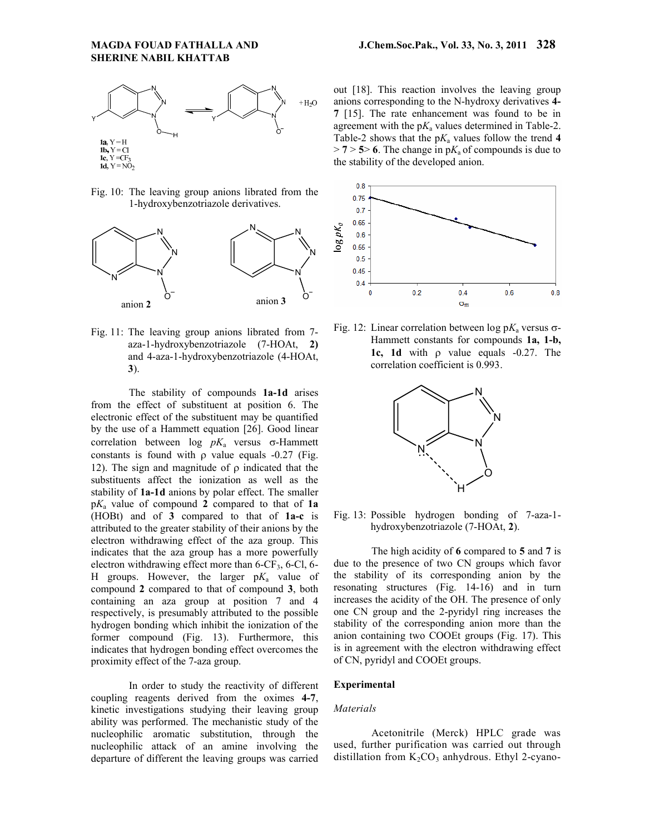

Fig. 10: The leaving group anions librated from the 1-hydroxybenzotriazole derivatives.



Fig. 11: The leaving group anions librated from 7 aza-1-hydroxybenzotriazole (7-HOAt, **2)** and 4-aza-1-hydroxybenzotriazole (4-HOAt, **3**).

The stability of compounds **1a-1d** arises from the effect of substituent at position 6. The electronic effect of the substituent may be quantified by the use of a Hammett equation [26]. Good linear correlation between  $\log pK_a$  versus  $\sigma$ -Hammett constants is found with  $\rho$  value equals -0.27 (Fig. 12). The sign and magnitude of  $\rho$  indicated that the substituents affect the ionization as well as the stability of **1a-1d** anions by polar effect. The smaller p*K*a value of compound **2** compared to that of **1a** (HOBt) and of **3** compared to that of **1a-c** is attributed to the greater stability of their anions by the electron withdrawing effect of the aza group. This indicates that the aza group has a more powerfully electron withdrawing effect more than  $6$ -CF<sub>3</sub>,  $6$ -Cl,  $6$ -H groups. However, the larger  $pK_a$  value of compound **2** compared to that of compound **3**, both containing an aza group at position 7 and 4 respectively, is presumably attributed to the possible hydrogen bonding which inhibit the ionization of the former compound (Fig. 13). Furthermore, this indicates that hydrogen bonding effect overcomes the proximity effect of the 7-aza group.

In order to study the reactivity of different coupling reagents derived from the oximes **4-7**, kinetic investigations studying their leaving group ability was performed. The mechanistic study of the nucleophilic aromatic substitution, through the nucleophilic attack of an amine involving the departure of different the leaving groups was carried out [18]. This reaction involves the leaving group anions corresponding to the N-hydroxy derivatives **4- 7** [15]. The rate enhancement was found to be in agreement with the  $pK_a$  values determined in Table-2. Table-2 shows that the  $pK_a$  values follow the trend 4  $> 7 > 5$  6. The change in p $K_a$  of compounds is due to the stability of the developed anion.



Fig. 12: Linear correlation between  $\log pK_a$  versus  $\sigma$ -Hammett constants for compounds **1a, 1-b,**  1c, 1d with  $\rho$  value equals  $-0.27$ . The correlation coefficient is 0.993.



Fig. 13: Possible hydrogen bonding of 7-aza-1 hydroxybenzotriazole (7-HOAt, **2**).

The high acidity of **6** compared to **5** and **7** is due to the presence of two CN groups which favor the stability of its corresponding anion by the resonating structures (Fig. 14-16) and in turn increases the acidity of the OH. The presence of only one CN group and the 2-pyridyl ring increases the stability of the corresponding anion more than the anion containing two COOEt groups (Fig. 17). This is in agreement with the electron withdrawing effect of CN, pyridyl and COOEt groups.

### **Experimental**

#### *Materials*

Acetonitrile (Merck) HPLC grade was used, further purification was carried out through distillation from  $K_2CO_3$  anhydrous. Ethyl 2-cyano-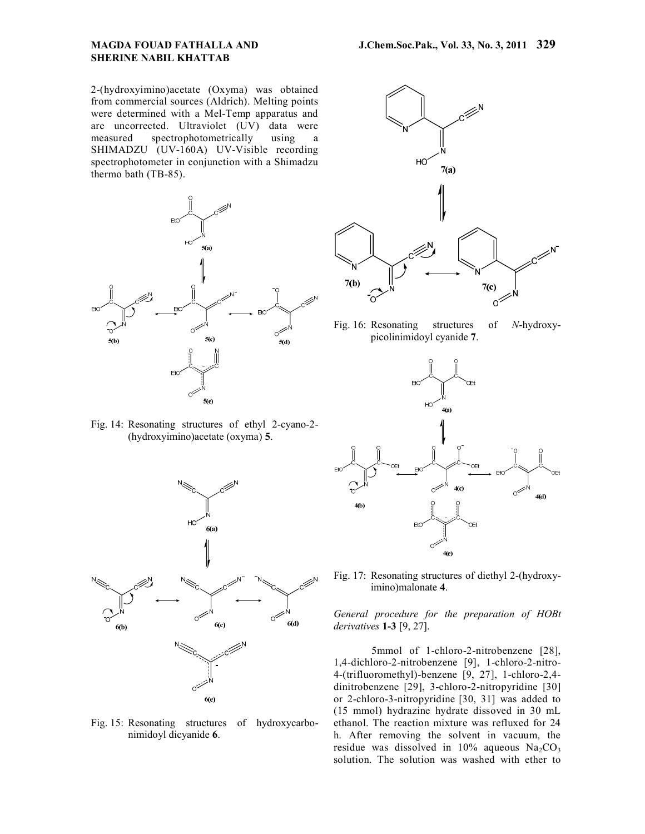2-(hydroxyimino)acetate (Oxyma) was obtained from commercial sources (Aldrich). Melting points were determined with a Mel-Temp apparatus and are uncorrected. Ultraviolet (UV) data were measured spectrophotometrically using a SHIMADZU (UV-160A) UV-Visible recording spectrophotometer in conjunction with a Shimadzu thermo bath (TB-85).



Fig. 14: Resonating structures of ethyl 2-cyano-2- (hydroxyimino)acetate (oxyma) **5**.



Fig. 15: Resonating structures of hydroxycarbonimidoyl dicyanide **6**.



Fig. 16: Resonating structures of *N*-hydroxypicolinimidoyl cyanide **7**.



Fig. 17: Resonating structures of diethyl 2-(hydroxyimino)malonate **4**.

*General procedure for the preparation of HOBt derivatives* **1-3** [9, 27].

5mmol of 1-chloro-2-nitrobenzene [28], 1,4-dichloro-2-nitrobenzene [9], 1-chloro-2-nitro-4-(trifluoromethyl)-benzene [9, 27], 1-chloro-2,4 dinitrobenzene [29], 3-chloro-2-nitropyridine [30] or 2-chloro-3-nitropyridine [30, 31] was added to (15 mmol) hydrazine hydrate dissoved in 30 mL ethanol. The reaction mixture was refluxed for 24 h. After removing the solvent in vacuum, the residue was dissolved in  $10\%$  aqueous Na<sub>2</sub>CO<sub>3</sub> solution. The solution was washed with ether to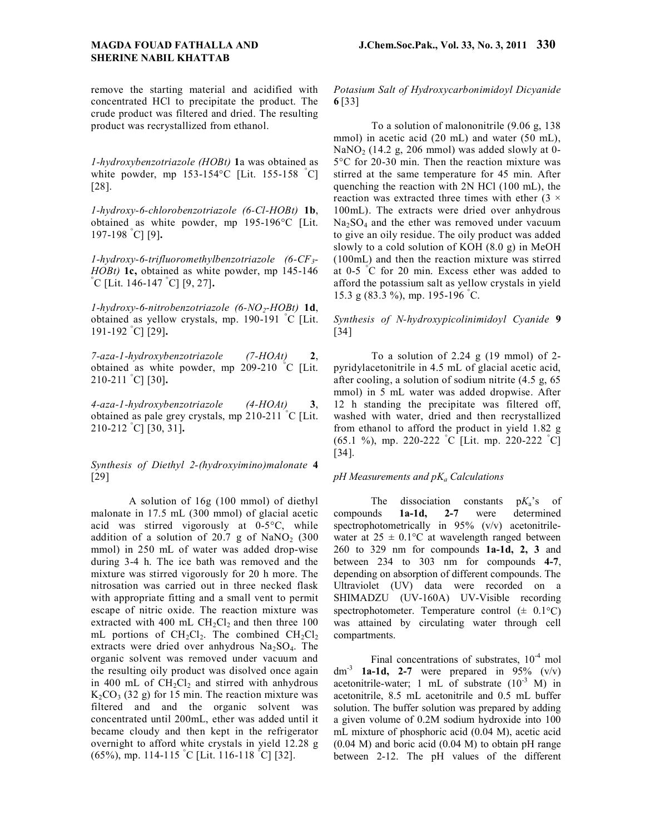remove the starting material and acidified with concentrated HCl to precipitate the product. The crude product was filtered and dried. The resulting product was recrystallized from ethanol.

*1-hydroxybenzotriazole (HOBt)* **1**a was obtained as white powder, mp 153-154°C [Lit. 155-158 ° C] [28].

*1-hydroxy-6-chlorobenzotriazole (6-Cl-HOBt)* **1b**, obtained as white powder, mp 195-196°C [Lit. 197-198 ° C] [9]**.**

*1-hydroxy-6-trifluoromethylbenzotriazole (6-CF3- HOBt*) **1c**, obtained as white powder, mp 145-146 C [Lit. 146-147 ° C] [9, 27]**.**

*1-hydroxy-6-nitrobenzotriazole (6-NO2-HOBt)* **1d**, obtained as yellow crystals, mp. 190-191 ° C [Lit. 191-192 ° C] [29]**.**

*7-aza-1-hydroxybenzotriazole (7-HOAt)* **2**, obtained as white powder, mp 209-210 ° C [Lit. 210-211 ° C] [30]**.**

*4-aza-1-hydroxybenzotriazole (4-HOAt)* **3**, obtained as pale grey crystals, mp 210-211 ° C [Lit. 210-212 ° C] [30, 31]**.**

*Synthesis of Diethyl 2-(hydroxyimino)malonate* **4** [29]

A solution of 16g (100 mmol) of diethyl malonate in 17.5 mL (300 mmol) of glacial acetic acid was stirred vigorously at 0-5°C, while addition of a solution of  $20.7$  g of NaNO<sub>2</sub> (300) mmol) in 250 mL of water was added drop-wise during 3-4 h. The ice bath was removed and the mixture was stirred vigorously for 20 h more. The nitrosation was carried out in three necked flask with appropriate fitting and a small vent to permit escape of nitric oxide. The reaction mixture was extracted with 400 mL  $CH<sub>2</sub>Cl<sub>2</sub>$  and then three 100 mL portions of  $CH_2Cl_2$ . The combined  $CH_2Cl_2$ extracts were dried over anhydrous  $Na<sub>2</sub>SO<sub>4</sub>$ . The organic solvent was removed under vacuum and the resulting oily product was disolved once again in 400 mL of  $CH<sub>2</sub>Cl<sub>2</sub>$  and stirred with anhydrous  $K_2CO_3$  (32 g) for 15 min. The reaction mixture was filtered and and the organic solvent was concentrated until 200mL, ether was added until it became cloudy and then kept in the refrigerator overnight to afford white crystals in yield 12.28 g (65%), mp. 114-115 ° C [Lit. 116-118 ° C] [32].

*Potasium Salt of Hydroxycarbonimidoyl Dicyanide* **6** [33]

To a solution of malononitrile (9.06 g, 138 mmol) in acetic acid (20 mL) and water (50 mL), NaNO<sub>2</sub> (14.2 g, 206 mmol) was added slowly at 0-5°C for 20-30 min. Then the reaction mixture was stirred at the same temperature for 45 min. After quenching the reaction with 2N HCl (100 mL), the reaction was extracted three times with ether  $(3 \times$ 100mL). The extracts were dried over anhydrous  $Na<sub>2</sub>SO<sub>4</sub>$  and the ether was removed under vacuum to give an oily residue. The oily product was added slowly to a cold solution of KOH (8.0 g) in MeOH (100mL) and then the reaction mixture was stirred at 0-5 ° C for 20 min. Excess ether was added to afford the potassium salt as yellow crystals in yield 15.3 g (83.3 %), mp. 195-196 ° C.

*Synthesis of N-hydroxypicolinimidoyl Cyanide* **9** [34]

To a solution of 2.24 g (19 mmol) of 2 pyridylacetonitrile in 4.5 mL of glacial acetic acid, after cooling, a solution of sodium nitrite (4.5 g, 65 mmol) in 5 mL water was added dropwise. After 12 h standing the precipitate was filtered off, washed with water, dried and then recrystallized from ethanol to afford the product in yield 1.82 g (65.1 %), mp. 220-222 ° C [Lit. mp. 220-222 ° C] [34].

#### *pH Measurements and pKa Calculations*

The dissociation constants p*K*a's of compounds **1a-1d, 2-7** were determined spectrophotometrically in 95% (v/v) acetonitrilewater at  $25 \pm 0.1$ °C at wavelength ranged between 260 to 329 nm for compounds **1a-1d, 2, 3** and between 234 to 303 nm for compounds **4-7**, depending on absorption of different compounds. The Ultraviolet (UV) data were recorded on a SHIMADZU (UV-160A) UV-Visible recording spectrophotometer. Temperature control  $(\pm 0.1^{\circ}C)$ was attained by circulating water through cell compartments.

Final concentrations of substrates,  $10^{-4}$  mol dm<sup>-3</sup> **1a-1d, 2-7** were prepared in 95% (v/v) acetonitrile-water; 1 mL of substrate  $(10^{-3}$  M) in acetonitrile, 8.5 mL acetonitrile and 0.5 mL buffer solution. The buffer solution was prepared by adding a given volume of 0.2M sodium hydroxide into 100 mL mixture of phosphoric acid (0.04 M), acetic acid (0.04 M) and boric acid (0.04 M) to obtain pH range between 2-12. The pH values of the different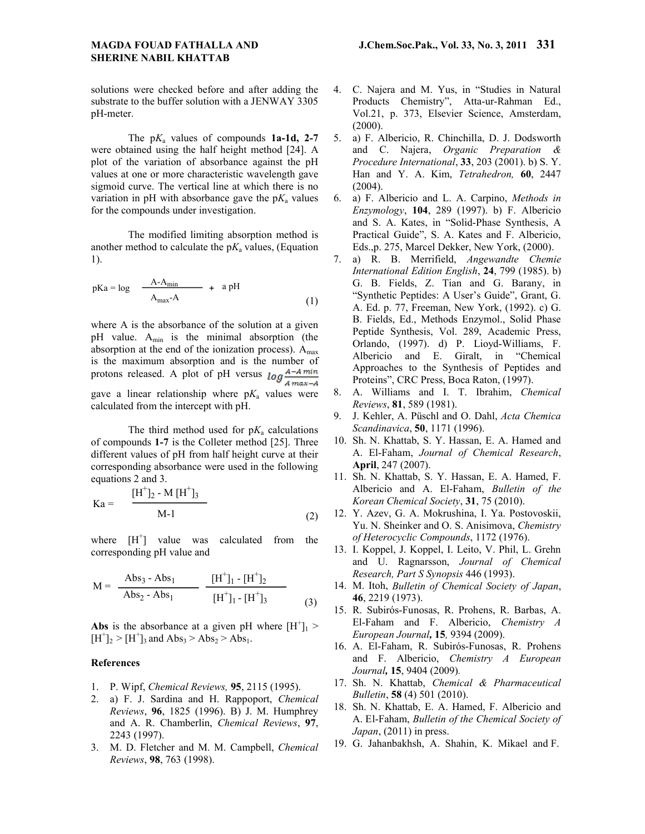solutions were checked before and after adding the substrate to the buffer solution with a JENWAY 3305 pH-meter.

The p*K*a values of compounds **1a-1d, 2-7**  were obtained using the half height method [24]. A plot of the variation of absorbance against the pH values at one or more characteristic wavelength gave sigmoid curve. The vertical line at which there is no variation in pH with absorbance gave the  $pK_a$  values for the compounds under investigation.

The modified limiting absorption method is another method to calculate the  $pK_a$  values, (Equation 1).

$$
pKa = log \frac{A-A_{min}}{A_{max}-A} + a pH
$$
 (1)

where A is the absorbance of the solution at a given pH value.  $A_{min}$  is the minimal absorption (the absorption at the end of the ionization process).  $A<sub>max</sub>$ is the maximum absorption and is the number of protons released. A plot of pH versus  $log \frac{A-A \, min}{A \, max-A}$ gave a linear relationship where  $pK_a$  values were calculated from the intercept with pH.

The third method used for  $pK_a$  calculations of compounds **1-7** is the Colleter method [25]. Three different values of pH from half height curve at their corresponding absorbance were used in the following equations 2 and 3.

$$
Ka = \frac{[H^+]_2 - M [H^+]_3}{M-1}
$$
 (2)

where  $[H^+]$  value was calculated from the corresponding pH value and

$$
M = \frac{Abs_3 - Abs_1}{Abs_2 - Abs_1} \frac{[H^+]_1 - [H^+]_2}{[H^+]_1 - [H^+]_3}
$$
 (3)

Abs is the absorbance at a given pH where  $[H^+]_1$  >  $[H<sup>+</sup>]_{2} > [H<sup>+</sup>]_{3}$  and Abs<sub>3</sub> > Abs<sub>2</sub> > Abs<sub>1</sub>.

#### **References**

- 1. P. Wipf, *Chemical Reviews,* **95**, 2115 (1995).
- 2. a) F. J. Sardina and H. Rappoport, *Chemical Reviews*, **96**, 1825 (1996). B) J. M. Humphrey and A. R. Chamberlin, *Chemical Reviews*, **97**, 2243 (1997).
- 3. M. D. Fletcher and M. M. Campbell, *Chemical Reviews*, **98**, 763 (1998).
- 4. C. Najera and M. Yus, in "Studies in Natural Products Chemistry", Atta-ur-Rahman Ed., Vol.21, p. 373, Elsevier Science, Amsterdam, (2000).
- 5. a) F. Albericio, R. Chinchilla, D. J. Dodsworth and C. Najera, *Organic Preparation & Procedure International*, **33**, 203 (2001). b) S. Y. Han and Y. A. Kim, *Tetrahedron,* **60**, 2447 (2004).
- 6. a) F. Albericio and L. A. Carpino, *Methods in Enzymology*, **104**, 289 (1997). b) F. Albericio and S. A. Kates, in "Solid-Phase Synthesis, A Practical Guide", S. A. Kates and F. Albericio, Eds.,p. 275, Marcel Dekker, New York, (2000).
- 7. a) R. B. Merrifield, *Angewandte Chemie International Edition English*, **24**, 799 (1985). b) G. B. Fields, Z. Tian and G. Barany, in "Synthetic Peptides: A User's Guide", Grant, G. A. Ed. p. 77, Freeman, New York, (1992). c) G. B. Fields, Ed., Methods Enzymol., Solid Phase Peptide Synthesis, Vol. 289, Academic Press, Orlando, (1997). d) P. Lioyd-Williams, F. Albericio and E. Giralt, in "Chemical Approaches to the Synthesis of Peptides and Proteins", CRC Press, Boca Raton, (1997).
- 8. A. Williams and I. T. Ibrahim, *Chemical Reviews*, **81**, 589 (1981).
- 9. J. Kehler, A. Püschl and O. Dahl, *Acta Chemica Scandinavica*, **50**, 1171 (1996).
- 10. Sh. N. Khattab, S. Y. Hassan, E. A. Hamed and A. El-Faham, *Journal of Chemical Research*, **April**, 247 (2007).
- 11. Sh. N. Khattab, S. Y. Hassan, E. A. Hamed, F. Albericio and A. El-Faham, *Bulletin of the Korean Chemical Society*, **31**, 75 (2010).
- 12. Y. Azev, G. A. Mokrushina, I. Ya. Postovoskii, Yu. N. Sheinker and O. S. Anisimova, *Chemistry of Heterocyclic Compounds*, 1172 (1976).
- 13. I. Koppel, J. Koppel, I. Leito, V. Phil, L. Grehn and U. Ragnarsson, *Journal of Chemical Research, Part S Synopsis* 446 (1993).
- 14. M. Itoh, *Bulletin of Chemical Society of Japan*, **46**, 2219 (1973).
- 15. R. Subirós-Funosas, R. Prohens, R. Barbas, A. El-Faham and F. Albericio, *Chemistry A European Journal,* **15***,* 9394 (2009).
- 16. A. El-Faham, R. Subirós-Funosas, R. Prohens and F. Albericio, *Chemistry A European Journal,* **15**, 9404 (2009)*.*
- 17. Sh. N. Khattab, *Chemical & Pharmaceutical Bulletin*, **58** (4) 501 (2010).
- 18. Sh. N. Khattab, E. A. Hamed, F. Albericio and A. El-Faham, *Bulletin of the Chemical Society of Japan*, (2011) in press.
- 19. G. Jahanbakhsh, A. Shahin, K. Mikael and F.